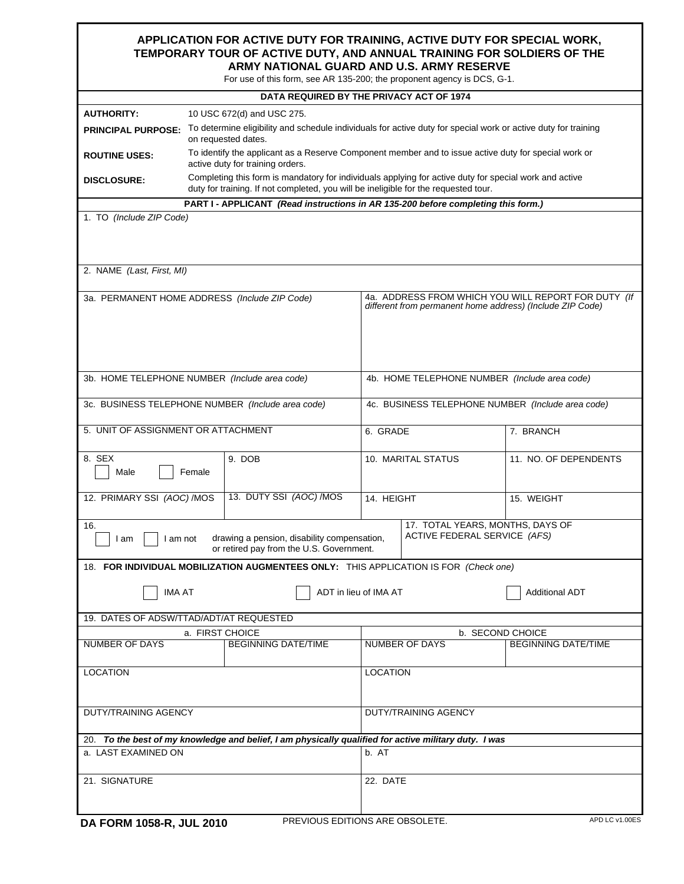## **APPLICATION FOR ACTIVE DUTY FOR TRAINING, ACTIVE DUTY FOR SPECIAL WORK, TEMPORARY TOUR OF ACTIVE DUTY, AND ANNUAL TRAINING FOR SOLDIERS OF THE ARMY NATIONAL GUARD AND U.S. ARMY RESERVE**

For use of this form, see AR 135-200; the proponent agency is DCS, G-1.

| For use of this form, see AR 135-200, the proponent agency is DCS, G-T.           |                                                                                                                                          |                                                                                         |                                                                                                                  |                                                                                                        |                            |  |  |  |  |  |  |  |
|-----------------------------------------------------------------------------------|------------------------------------------------------------------------------------------------------------------------------------------|-----------------------------------------------------------------------------------------|------------------------------------------------------------------------------------------------------------------|--------------------------------------------------------------------------------------------------------|----------------------------|--|--|--|--|--|--|--|
| DATA REQUIRED BY THE PRIVACY ACT OF 1974                                          |                                                                                                                                          |                                                                                         |                                                                                                                  |                                                                                                        |                            |  |  |  |  |  |  |  |
| <b>AUTHORITY:</b>                                                                 | 10 USC 672(d) and USC 275.                                                                                                               |                                                                                         |                                                                                                                  |                                                                                                        |                            |  |  |  |  |  |  |  |
| <b>PRINCIPAL PURPOSE:</b>                                                         | To determine eligibility and schedule individuals for active duty for special work or active duty for training<br>on requested dates.    |                                                                                         |                                                                                                                  |                                                                                                        |                            |  |  |  |  |  |  |  |
| <b>ROUTINE USES:</b>                                                              | To identify the applicant as a Reserve Component member and to issue active duty for special work or<br>active duty for training orders. |                                                                                         |                                                                                                                  |                                                                                                        |                            |  |  |  |  |  |  |  |
| <b>DISCLOSURE:</b>                                                                |                                                                                                                                          | duty for training. If not completed, you will be ineligible for the requested tour.     |                                                                                                                  | Completing this form is mandatory for individuals applying for active duty for special work and active |                            |  |  |  |  |  |  |  |
| PART I - APPLICANT (Read instructions in AR 135-200 before completing this form.) |                                                                                                                                          |                                                                                         |                                                                                                                  |                                                                                                        |                            |  |  |  |  |  |  |  |
| 1. TO (Include ZIP Code)                                                          |                                                                                                                                          |                                                                                         |                                                                                                                  |                                                                                                        |                            |  |  |  |  |  |  |  |
| 2. NAME (Last, First, MI)                                                         |                                                                                                                                          |                                                                                         |                                                                                                                  |                                                                                                        |                            |  |  |  |  |  |  |  |
| 3a. PERMANENT HOME ADDRESS (Include ZIP Code)                                     |                                                                                                                                          |                                                                                         | 4a. ADDRESS FROM WHICH YOU WILL REPORT FOR DUTY (If<br>different from permanent home address) (Include ZIP Code) |                                                                                                        |                            |  |  |  |  |  |  |  |
| 3b. HOME TELEPHONE NUMBER (Include area code)                                     |                                                                                                                                          |                                                                                         |                                                                                                                  | 4b. HOME TELEPHONE NUMBER (Include area code)                                                          |                            |  |  |  |  |  |  |  |
| 3c. BUSINESS TELEPHONE NUMBER (Include area code)                                 |                                                                                                                                          |                                                                                         |                                                                                                                  | 4c. BUSINESS TELEPHONE NUMBER (Include area code)                                                      |                            |  |  |  |  |  |  |  |
| 5. UNIT OF ASSIGNMENT OR ATTACHMENT                                               |                                                                                                                                          |                                                                                         |                                                                                                                  | 6. GRADE                                                                                               | 7. BRANCH                  |  |  |  |  |  |  |  |
| 8. SEX<br>Male                                                                    | Female                                                                                                                                   | 9. DOB                                                                                  |                                                                                                                  | 10. MARITAL STATUS                                                                                     | 11. NO. OF DEPENDENTS      |  |  |  |  |  |  |  |
| 12. PRIMARY SSI (AOC) /MOS                                                        |                                                                                                                                          | 13. DUTY SSI (AOC) /MOS                                                                 | 14. HEIGHT                                                                                                       |                                                                                                        | 15. WEIGHT                 |  |  |  |  |  |  |  |
| 16.<br>I am not<br>I am                                                           |                                                                                                                                          | drawing a pension, disability compensation,<br>or retired pay from the U.S. Government. |                                                                                                                  | 17. TOTAL YEARS, MONTHS, DAYS OF<br>ACTIVE FEDERAL SERVICE (AFS)                                       |                            |  |  |  |  |  |  |  |
|                                                                                   |                                                                                                                                          | 18. FOR INDIVIDUAL MOBILIZATION AUGMENTEES ONLY: THIS APPLICATION IS FOR (Check one)    |                                                                                                                  |                                                                                                        |                            |  |  |  |  |  |  |  |
| <b>IMA AT</b><br>ADT in lieu of IMA AT                                            |                                                                                                                                          |                                                                                         |                                                                                                                  |                                                                                                        | <b>Additional ADT</b>      |  |  |  |  |  |  |  |
| 19. DATES OF ADSW/TTAD/ADT/AT REQUESTED                                           |                                                                                                                                          |                                                                                         |                                                                                                                  |                                                                                                        |                            |  |  |  |  |  |  |  |
|                                                                                   | a. FIRST CHOICE                                                                                                                          |                                                                                         |                                                                                                                  | b. SECOND CHOICE                                                                                       |                            |  |  |  |  |  |  |  |
| <b>NUMBER OF DAYS</b>                                                             | <b>BEGINNING DATE/TIME</b>                                                                                                               |                                                                                         |                                                                                                                  | <b>NUMBER OF DAYS</b>                                                                                  | <b>BEGINNING DATE/TIME</b> |  |  |  |  |  |  |  |
| <b>LOCATION</b>                                                                   |                                                                                                                                          |                                                                                         |                                                                                                                  | <b>LOCATION</b>                                                                                        |                            |  |  |  |  |  |  |  |
| <b>DUTY/TRAINING AGENCY</b>                                                       |                                                                                                                                          |                                                                                         | DUTY/TRAINING AGENCY                                                                                             |                                                                                                        |                            |  |  |  |  |  |  |  |
|                                                                                   |                                                                                                                                          |                                                                                         |                                                                                                                  | 20. To the best of my knowledge and belief, I am physically qualified for active military duty. I was  |                            |  |  |  |  |  |  |  |
| a. LAST EXAMINED ON                                                               |                                                                                                                                          |                                                                                         | b. AT                                                                                                            |                                                                                                        |                            |  |  |  |  |  |  |  |
| 21. SIGNATURE                                                                     |                                                                                                                                          |                                                                                         | 22. DATE                                                                                                         |                                                                                                        |                            |  |  |  |  |  |  |  |